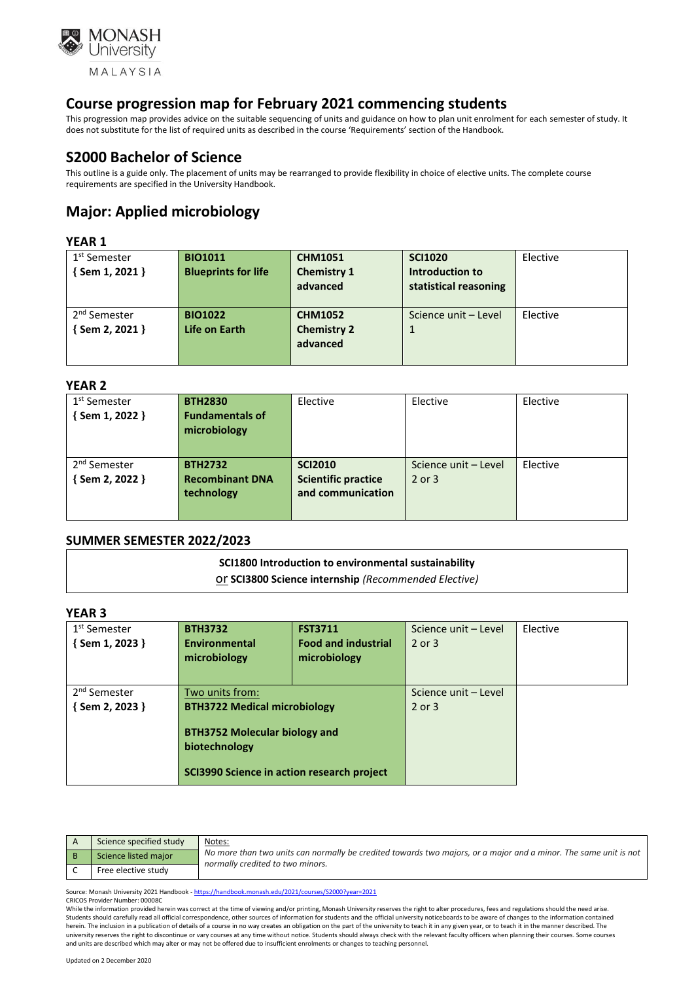

This progression map provides advice on the suitable sequencing of units and guidance on how to plan unit enrolment for each semester of study. It does not substitute for the list of required units as described in the course 'Requirements' section of the Handbook.

# **S2000 Bachelor of Science**

This outline is a guide only. The placement of units may be rearranged to provide flexibility in choice of elective units. The complete course requirements are specified in the University Handbook.

# **Major: Applied microbiology**

### **YEAR 1**

| 1 <sup>st</sup> Semester<br>$\{$ Sem 1, 2021 $\}$ | <b>BIO1011</b><br><b>Blueprints for life</b> | <b>CHM1051</b><br><b>Chemistry 1</b><br>advanced | <b>SCI1020</b><br>Introduction to<br>statistical reasoning | Elective |
|---------------------------------------------------|----------------------------------------------|--------------------------------------------------|------------------------------------------------------------|----------|
| 2 <sup>nd</sup> Semester<br>$\{$ Sem 2, 2021 $\}$ | <b>BIO1022</b><br>Life on Earth              | <b>CHM1052</b><br><b>Chemistry 2</b><br>advanced | Science unit - Level                                       | Elective |

#### **YEAR 2**

| 1 <sup>st</sup> Semester | <b>BTH2830</b>         | Elective                   | Elective             | Elective |
|--------------------------|------------------------|----------------------------|----------------------|----------|
| $\{$ Sem 1, 2022 $\}$    | <b>Fundamentals of</b> |                            |                      |          |
|                          | microbiology           |                            |                      |          |
|                          |                        |                            |                      |          |
|                          |                        |                            |                      |          |
| 2 <sup>nd</sup> Semester | <b>BTH2732</b>         | <b>SCI2010</b>             | Science unit – Level | Elective |
| $\{$ Sem 2, 2022 $\}$    | <b>Recombinant DNA</b> | <b>Scientific practice</b> | $2$ or $3$           |          |
|                          | technology             | and communication          |                      |          |
|                          |                        |                            |                      |          |
|                          |                        |                            |                      |          |

## **SUMMER SEMESTER 2022/2023**

# **SCI1800 Introduction to environmental sustainability**

or **SCI3800 Science internship** *(Recommended Elective)*

## **YEAR 3**

| .                        |                                            |                            |                      |          |  |  |  |
|--------------------------|--------------------------------------------|----------------------------|----------------------|----------|--|--|--|
| 1 <sup>st</sup> Semester | <b>BTH3732</b>                             | <b>FST3711</b>             | Science unit - Level | Elective |  |  |  |
| $\{$ Sem 1, 2023 $\}$    | Environmental                              | <b>Food and industrial</b> | 2 or 3               |          |  |  |  |
|                          | microbiology                               | microbiology               |                      |          |  |  |  |
|                          |                                            |                            |                      |          |  |  |  |
| 2 <sup>nd</sup> Semester | Two units from:                            |                            | Science unit - Level |          |  |  |  |
| $\{$ Sem 2, 2023 $\}$    | <b>BTH3722 Medical microbiology</b>        |                            | 2 or 3               |          |  |  |  |
|                          |                                            |                            |                      |          |  |  |  |
|                          | <b>BTH3752 Molecular biology and</b>       |                            |                      |          |  |  |  |
|                          | biotechnology                              |                            |                      |          |  |  |  |
|                          | SCI3990 Science in action research project |                            |                      |          |  |  |  |

| Science specified study | Notes:                                                                                                                                               |
|-------------------------|------------------------------------------------------------------------------------------------------------------------------------------------------|
| Science listed major    | No more than two units can normally be credited towards two majors, or a major and a minor. The same unit is not<br>normally credited to two minors. |
| Free elective study     |                                                                                                                                                      |

Source: Monash University 2021 Handbook - <https://handbook.monash.edu/2021/courses/S2000?year=2021> CRICOS Provider Number: 00008C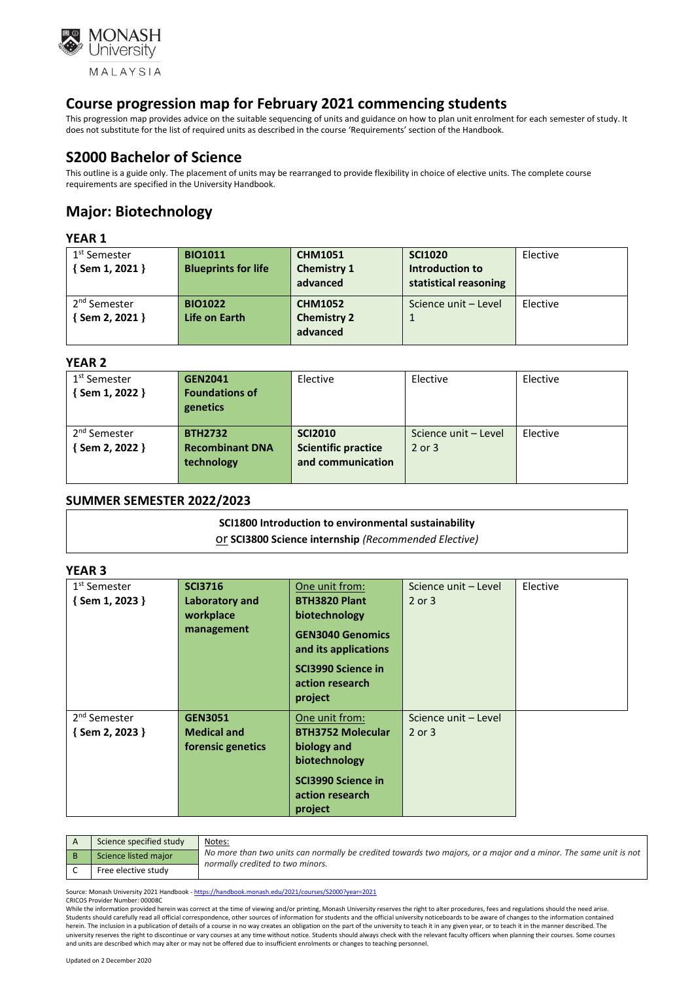

This progression map provides advice on the suitable sequencing of units and guidance on how to plan unit enrolment for each semester of study. It does not substitute for the list of required units as described in the course 'Requirements' section of the Handbook.

# **S2000 Bachelor of Science**

This outline is a guide only. The placement of units may be rearranged to provide flexibility in choice of elective units. The complete course requirements are specified in the University Handbook.

# **Major: Biotechnology**

## **YEAR 1**

| 1 <sup>st</sup> Semester<br>$\{$ Sem 1, 2021 $\}$ | <b>BIO1011</b><br><b>Blueprints for life</b> | <b>CHM1051</b><br><b>Chemistry 1</b><br>advanced | <b>SCI1020</b><br>Introduction to<br>statistical reasoning | Elective |
|---------------------------------------------------|----------------------------------------------|--------------------------------------------------|------------------------------------------------------------|----------|
| 2 <sup>nd</sup> Semester<br>{ Sem 2, 2021 }       | <b>BIO1022</b><br>Life on Earth              | <b>CHM1052</b><br><b>Chemistry 2</b>             | Science unit - Level                                       | Elective |
|                                                   |                                              | advanced                                         |                                                            |          |

## **YEAR 2**

| 1 <sup>st</sup> Semester<br>$\{$ Sem 1, 2022 $\}$ | <b>GEN2041</b><br><b>Foundations of</b><br>genetics    | Elective                                                          | Elective                           | Elective |
|---------------------------------------------------|--------------------------------------------------------|-------------------------------------------------------------------|------------------------------------|----------|
| 2 <sup>nd</sup> Semester<br>{Sem 2, 2022 }        | <b>BTH2732</b><br><b>Recombinant DNA</b><br>technology | <b>SCI2010</b><br><b>Scientific practice</b><br>and communication | Science unit - Level<br>$2$ or $3$ | Elective |

## **SUMMER SEMESTER 2022/2023**

## **SCI1800 Introduction to environmental sustainability**  or **SCI3800 Science internship** *(Recommended Elective)*

## **YEAR 3**

| 1 <sup>st</sup> Semester | <b>SCI3716</b>     | One unit from:                                          | Science unit - Level | Elective |
|--------------------------|--------------------|---------------------------------------------------------|----------------------|----------|
| $\{$ Sem 1, 2023 $\}$    | Laboratory and     | <b>BTH3820 Plant</b>                                    | 2 or 3               |          |
|                          | workplace          | biotechnology                                           |                      |          |
|                          | management         | <b>GEN3040 Genomics</b><br>and its applications         |                      |          |
|                          |                    | <b>SCI3990 Science in</b><br>action research<br>project |                      |          |
| 2 <sup>nd</sup> Semester | <b>GEN3051</b>     | One unit from:                                          | Science unit - Level |          |
| $\{$ Sem 2, 2023 $\}$    | <b>Medical and</b> | <b>BTH3752 Molecular</b>                                | 2 or 3               |          |
|                          | forensic genetics  | biology and                                             |                      |          |
|                          |                    | biotechnology                                           |                      |          |
|                          |                    | <b>SCI3990 Science in</b><br>action research<br>project |                      |          |
|                          |                    |                                                         |                      |          |

| Science specified study | Notes:                                                                                                                                               |
|-------------------------|------------------------------------------------------------------------------------------------------------------------------------------------------|
| Science listed major    | No more than two units can normally be credited towards two majors, or a major and a minor. The same unit is not<br>normally credited to two minors. |
| Free elective study     |                                                                                                                                                      |

Source: Monash University 2021 Handbook - <https://handbook.monash.edu/2021/courses/S2000?year=2021> CRICOS Provider Number: 00008C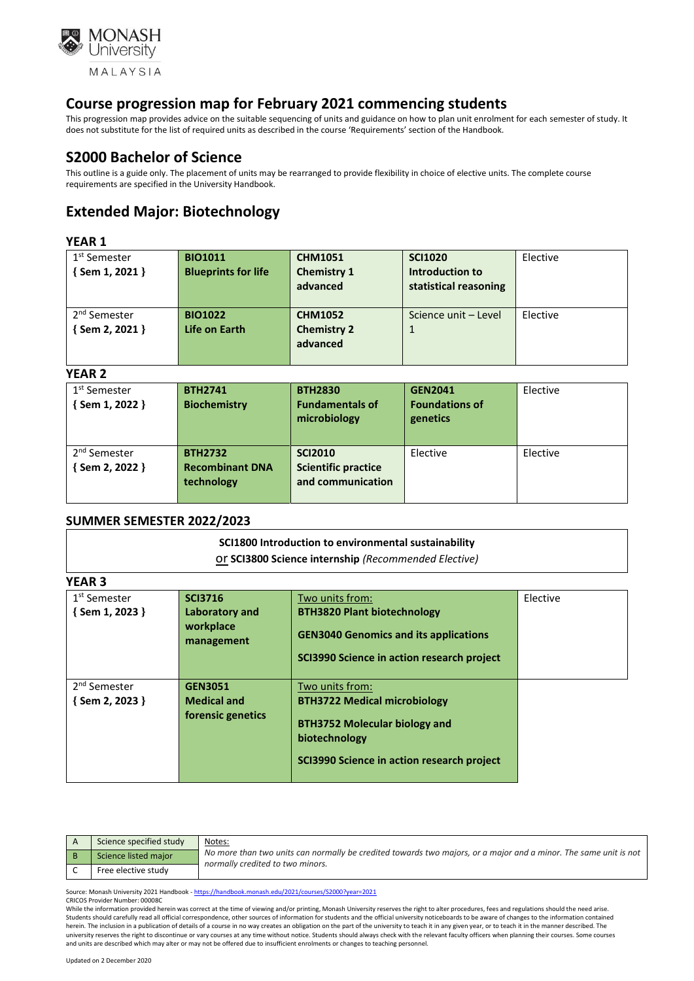

This progression map provides advice on the suitable sequencing of units and guidance on how to plan unit enrolment for each semester of study. It does not substitute for the list of required units as described in the course 'Requirements' section of the Handbook.

# **S2000 Bachelor of Science**

This outline is a guide only. The placement of units may be rearranged to provide flexibility in choice of elective units. The complete course requirements are specified in the University Handbook.

# **Extended Major: Biotechnology**

### **YEAR 1**

| 1 <sup>st</sup> Semester<br>$\{$ Sem 1, 2021 }    | <b>BIO1011</b><br><b>Blueprints for life</b> | <b>CHM1051</b><br><b>Chemistry 1</b><br>advanced | <b>SCI1020</b><br>Introduction to<br>statistical reasoning | Elective |
|---------------------------------------------------|----------------------------------------------|--------------------------------------------------|------------------------------------------------------------|----------|
| 2 <sup>nd</sup> Semester<br>$\{$ Sem 2, 2021 $\}$ | <b>BIO1022</b><br>Life on Earth              | <b>CHM1052</b><br><b>Chemistry 2</b><br>advanced | Science unit - Level                                       | Elective |

#### **YEAR 2**

| 1 <sup>st</sup> Semester | <b>BTH2741</b>         | <b>BTH2830</b>                         | <b>GEN2041</b>                    | Elective |
|--------------------------|------------------------|----------------------------------------|-----------------------------------|----------|
| $\{$ Sem 1, 2022 $\}$    | <b>Biochemistry</b>    | <b>Fundamentals of</b><br>microbiology | <b>Foundations of</b><br>genetics |          |
|                          |                        |                                        |                                   |          |
| 2 <sup>nd</sup> Semester | <b>BTH2732</b>         | <b>SCI2010</b>                         | Elective                          | Elective |
| {Sem 2, 2022 }           | <b>Recombinant DNA</b> | <b>Scientific practice</b>             |                                   |          |
|                          | technology             | and communication                      |                                   |          |
|                          |                        |                                        |                                   |          |

## **SUMMER SEMESTER 2022/2023**

|        | SCI1800 Introduction to environmental sustainability<br>Or SCI3800 Science internship (Recommended Elective) |
|--------|--------------------------------------------------------------------------------------------------------------|
| YEAR 3 |                                                                                                              |

| 1 <sup>st</sup> Semester | <b>SCI3716</b>          | Two units from:                              | Elective |
|--------------------------|-------------------------|----------------------------------------------|----------|
| $\{$ Sem 1, 2023 $\}$    | Laboratory and          | <b>BTH3820 Plant biotechnology</b>           |          |
|                          | workplace<br>management | <b>GEN3040 Genomics and its applications</b> |          |
|                          |                         | SCI3990 Science in action research project   |          |
|                          |                         |                                              |          |
| 2 <sup>nd</sup> Semester | <b>GEN3051</b>          | Two units from:                              |          |
| {Sem 2, 2023 }           | <b>Medical and</b>      | <b>BTH3722 Medical microbiology</b>          |          |
|                          | forensic genetics       | <b>BTH3752 Molecular biology and</b>         |          |
|                          |                         | biotechnology                                |          |
|                          |                         | SCI3990 Science in action research project   |          |
|                          |                         |                                              |          |

| Science specified study | <u>Notes:</u>                                                                                                                                        |
|-------------------------|------------------------------------------------------------------------------------------------------------------------------------------------------|
| Science listed major    | No more than two units can normally be credited towards two majors, or a major and a minor. The same unit is not<br>normally credited to two minors. |
| Free elective study     |                                                                                                                                                      |

Source: Monash University 2021 Handbook - <https://handbook.monash.edu/2021/courses/S2000?year=2021> CRICOS Provider Number: 00008C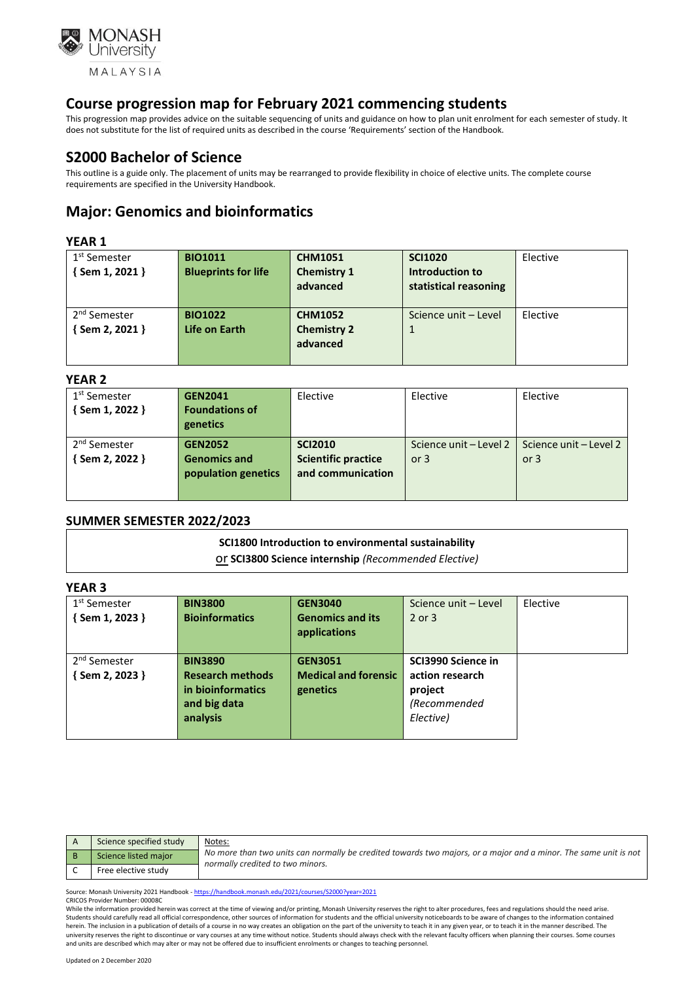

This progression map provides advice on the suitable sequencing of units and guidance on how to plan unit enrolment for each semester of study. It does not substitute for the list of required units as described in the course 'Requirements' section of the Handbook.

# **S2000 Bachelor of Science**

This outline is a guide only. The placement of units may be rearranged to provide flexibility in choice of elective units. The complete course requirements are specified in the University Handbook.

# **Major: Genomics and bioinformatics**

## **YEAR 1**

| 1 <sup>st</sup> Semester<br>$\{$ Sem 1, 2021 $\}$ | <b>BIO1011</b><br><b>Blueprints for life</b> | <b>CHM1051</b><br><b>Chemistry 1</b><br>advanced | <b>SCI1020</b><br>Introduction to<br>statistical reasoning | Elective |
|---------------------------------------------------|----------------------------------------------|--------------------------------------------------|------------------------------------------------------------|----------|
| 2 <sup>nd</sup> Semester<br>{ Sem 2, 2021 }       | <b>BIO1022</b><br>Life on Earth              | <b>CHM1052</b><br><b>Chemistry 2</b><br>advanced | Science unit - Level                                       | Elective |

#### **YEAR 2**

| 1 <sup>st</sup> Semester | <b>GEN2041</b>        | Elective                   | Elective               | Elective               |
|--------------------------|-----------------------|----------------------------|------------------------|------------------------|
| {Sem 1, 2022 }           | <b>Foundations of</b> |                            |                        |                        |
|                          | genetics              |                            |                        |                        |
| 2 <sup>nd</sup> Semester | <b>GEN2052</b>        | <b>SCI2010</b>             | Science unit - Level 2 | Science unit - Level 2 |
| { Sem 2, 2022 }          | <b>Genomics and</b>   | <b>Scientific practice</b> | or $3$                 | or $3$                 |
|                          | population genetics   | and communication          |                        |                        |
|                          |                       |                            |                        |                        |
|                          |                       |                            |                        |                        |

## **SUMMER SEMESTER 2022/2023**

# **SCI1800 Introduction to environmental sustainability**  or **SCI3800 Science internship** *(Recommended Elective)*

## **YEAR 3**

| Science specified study | <u>Notes:</u>                                                                                                                                        |
|-------------------------|------------------------------------------------------------------------------------------------------------------------------------------------------|
| Science listed major    | No more than two units can normally be credited towards two majors, or a major and a minor. The same unit is not<br>normally credited to two minors. |
| Free elective study     |                                                                                                                                                      |

Source: Monash University 2021 Handbook - <https://handbook.monash.edu/2021/courses/S2000?year=2021> CRICOS Provider Number: 00008C

While the information provided herein was correct at the time of viewing and/or printing, Monash University reserves the right to alter procedures, fees and regulations should the need arise. Students should carefully read all official correspondence, other sources of information for students and the official university noticeboards to be aware of changes to the information contained herein. The inclusion in a publication of details of a course in no way creates an obligation on the part of the university to teach it in any given year, or to teach it in the manner described. The university reserves the right to discontinue or vary courses at any time without notice. Students should always check with the relevant faculty officers when planning their courses. Some courses and units are described which may alter or may not be offered due to insufficient enrolments or changes to teaching personnel.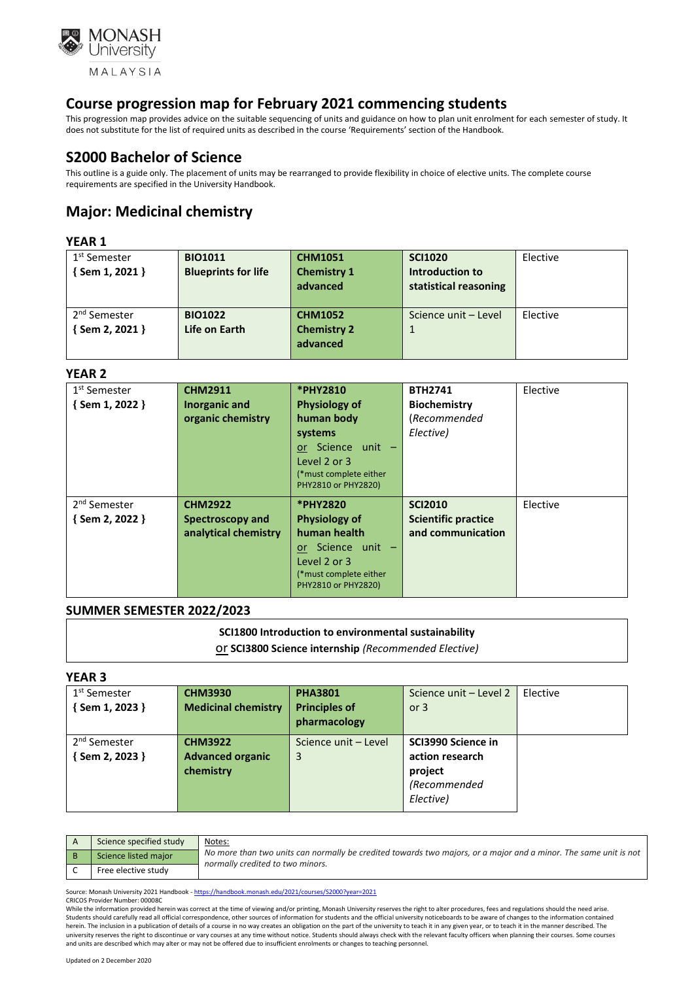

This progression map provides advice on the suitable sequencing of units and guidance on how to plan unit enrolment for each semester of study. It does not substitute for the list of required units as described in the course 'Requirements' section of the Handbook.

# **S2000 Bachelor of Science**

This outline is a guide only. The placement of units may be rearranged to provide flexibility in choice of elective units. The complete course requirements are specified in the University Handbook.

# **Major: Medicinal chemistry**

### **YEAR 1**

| 1 <sup>st</sup> Semester | <b>BIO1011</b>             | <b>CHM1051</b>     | <b>SCI1020</b>        | Elective |
|--------------------------|----------------------------|--------------------|-----------------------|----------|
| $\{$ Sem 1, 2021 $\}$    | <b>Blueprints for life</b> | <b>Chemistry 1</b> | Introduction to       |          |
|                          |                            | advanced           | statistical reasoning |          |
|                          |                            |                    |                       |          |
| 2 <sup>nd</sup> Semester | <b>BIO1022</b>             | <b>CHM1052</b>     | Science unit - Level  | Elective |
| Sem 2, 2021 }            | Life on Earth              | <b>Chemistry 2</b> |                       |          |
|                          |                            | advanced           |                       |          |
|                          |                            |                    |                       |          |

#### **YEAR 2**

| 1 <sup>st</sup> Semester | <b>CHM2911</b>       | *PHY2810               | <b>BTH2741</b>             | Elective |
|--------------------------|----------------------|------------------------|----------------------------|----------|
| {Sem 1, 2022 }           | Inorganic and        | <b>Physiology of</b>   | <b>Biochemistry</b>        |          |
|                          | organic chemistry    | human body             | (Recommended               |          |
|                          |                      | systems                | Elective)                  |          |
|                          |                      | or Science unit -      |                            |          |
|                          |                      | Level 2 or 3           |                            |          |
|                          |                      | (*must complete either |                            |          |
|                          |                      | PHY2810 or PHY2820)    |                            |          |
| 2 <sup>nd</sup> Semester | <b>CHM2922</b>       | *PHY2820               | <b>SCI2010</b>             | Elective |
| $\{$ Sem 2, 2022 $\}$    | Spectroscopy and     | <b>Physiology of</b>   | <b>Scientific practice</b> |          |
|                          | analytical chemistry | human health           | and communication          |          |
|                          |                      | or Science unit -      |                            |          |
|                          |                      | Level 2 or $3$         |                            |          |
|                          |                      | (*must complete either |                            |          |
|                          |                      | PHY2810 or PHY2820)    |                            |          |

## **SUMMER SEMESTER 2022/2023**

## **SCI1800 Introduction to environmental sustainability**

or **SCI3800 Science internship** *(Recommended Elective)*

#### **YEAR 3**

| Elective |
|----------|
|          |
|          |
|          |
|          |
|          |
|          |
|          |
|          |

| Science specified study | Notes:                                                                                                                                               |
|-------------------------|------------------------------------------------------------------------------------------------------------------------------------------------------|
| Science listed major    | No more than two units can normally be credited towards two majors, or a major and a minor. The same unit is not<br>normally credited to two minors. |
| Free elective study     |                                                                                                                                                      |

Source: Monash University 2021 Handbook - <https://handbook.monash.edu/2021/courses/S2000?year=2021> CRICOS Provider Number: 00008C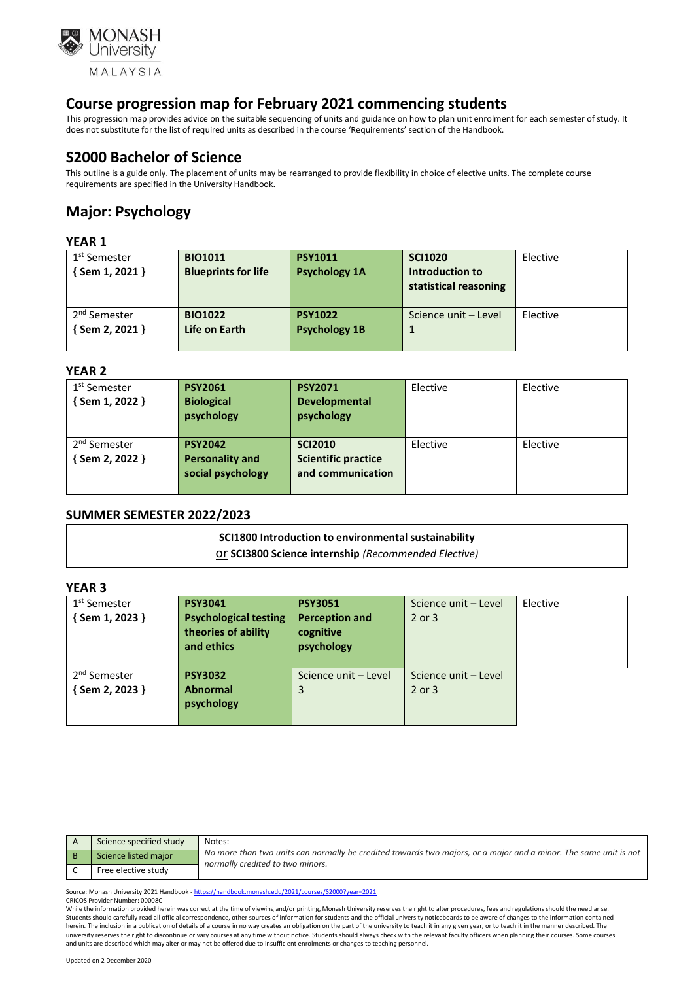

This progression map provides advice on the suitable sequencing of units and guidance on how to plan unit enrolment for each semester of study. It does not substitute for the list of required units as described in the course 'Requirements' section of the Handbook.

# **S2000 Bachelor of Science**

This outline is a guide only. The placement of units may be rearranged to provide flexibility in choice of elective units. The complete course requirements are specified in the University Handbook.

# **Major: Psychology**

## **YEAR 1**

| 1 <sup>st</sup> Semester<br>$\{$ Sem 1, 2021 $\}$ | <b>BIO1011</b><br><b>Blueprints for life</b> | <b>PSY1011</b><br><b>Psychology 1A</b> | <b>SCI1020</b><br>Introduction to<br>statistical reasoning | Elective |
|---------------------------------------------------|----------------------------------------------|----------------------------------------|------------------------------------------------------------|----------|
| 2 <sup>nd</sup> Semester<br>Sem 2, 2021 }         | <b>BIO1022</b><br>Life on Earth              | <b>PSY1022</b><br><b>Psychology 1B</b> | Science unit - Level                                       | Elective |

## **YEAR 2**

| 1 <sup>st</sup> Semester<br>$\{$ Sem 1, 2022 $\}$ | <b>PSY2061</b><br><b>Biological</b><br>psychology             | <b>PSY2071</b><br><b>Developmental</b><br>psychology              | Elective | Elective |
|---------------------------------------------------|---------------------------------------------------------------|-------------------------------------------------------------------|----------|----------|
| 2 <sup>nd</sup> Semester<br>Sem 2, 2022 }         | <b>PSY2042</b><br><b>Personality and</b><br>social psychology | <b>SCI2010</b><br><b>Scientific practice</b><br>and communication | Elective | Elective |

## **SUMMER SEMESTER 2022/2023**

#### **SCI1800 Introduction to environmental sustainability**

or **SCI3800 Science internship** *(Recommended Elective)*

## **YEAR 3**

| 1 <sup>st</sup> Semester | <b>PSY3041</b>               | <b>PSY3051</b>        | Science unit - Level | Elective |
|--------------------------|------------------------------|-----------------------|----------------------|----------|
| {Sem 1, 2023 }           | <b>Psychological testing</b> | <b>Perception and</b> | 2 or 3               |          |
|                          | theories of ability          | cognitive             |                      |          |
|                          | and ethics                   | psychology            |                      |          |
|                          |                              |                       |                      |          |
| 2 <sup>nd</sup> Semester | <b>PSY3032</b>               | Science unit – Level  | Science unit - Level |          |
| { Sem 2, 2023 }          | <b>Abnormal</b>              | 3                     | 2 or 3               |          |
|                          | psychology                   |                       |                      |          |
|                          |                              |                       |                      |          |

| Science specified study | Notes:                                                                                                                                               |
|-------------------------|------------------------------------------------------------------------------------------------------------------------------------------------------|
| Science listed major    | No more than two units can normally be credited towards two majors, or a major and a minor. The same unit is not<br>normally credited to two minors. |
| Free elective study     |                                                                                                                                                      |

Source: Monash University 2021 Handbook - <https://handbook.monash.edu/2021/courses/S2000?year=2021> CRICOS Provider Number: 00008C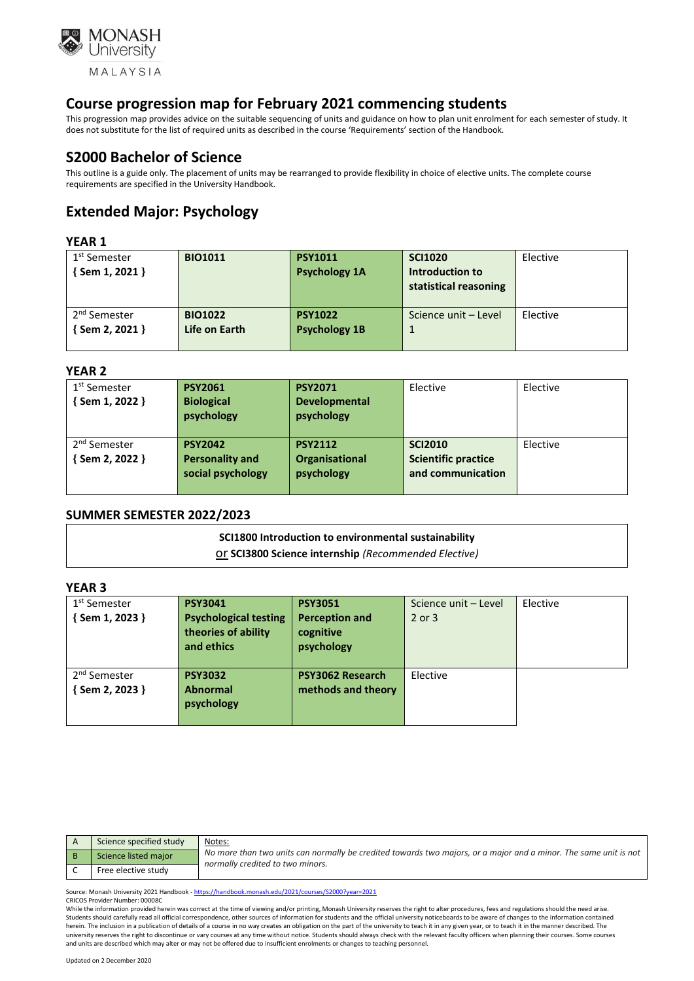

This progression map provides advice on the suitable sequencing of units and guidance on how to plan unit enrolment for each semester of study. It does not substitute for the list of required units as described in the course 'Requirements' section of the Handbook.

# **S2000 Bachelor of Science**

This outline is a guide only. The placement of units may be rearranged to provide flexibility in choice of elective units. The complete course requirements are specified in the University Handbook.

# **Extended Major: Psychology**

### **YEAR 1**

| 1 <sup>st</sup> Semester | <b>BIO1011</b> | <b>PSY1011</b>       | <b>SCI1020</b>        | Elective |
|--------------------------|----------------|----------------------|-----------------------|----------|
| $\{$ Sem 1, 2021 }       |                | <b>Psychology 1A</b> | Introduction to       |          |
|                          |                |                      | statistical reasoning |          |
|                          |                |                      |                       |          |
| 2 <sup>nd</sup> Semester | <b>BIO1022</b> | <b>PSY1022</b>       | Science unit - Level  | Elective |
| $\{$ Sem 2, 2021 $\}$    | Life on Earth  | <b>Psychology 1B</b> |                       |          |
|                          |                |                      |                       |          |

#### **YEAR 2**

| 1 <sup>st</sup> Semester<br>$\{$ Sem 1, 2022 $\}$ | <b>PSY2061</b><br><b>Biological</b><br>psychology             | <b>PSY2071</b><br><b>Developmental</b><br>psychology | Elective                                                          | Elective |
|---------------------------------------------------|---------------------------------------------------------------|------------------------------------------------------|-------------------------------------------------------------------|----------|
| 2 <sup>nd</sup> Semester<br>Sem 2, 2022 }         | <b>PSY2042</b><br><b>Personality and</b><br>social psychology | <b>PSY2112</b><br>Organisational<br>psychology       | <b>SCI2010</b><br><b>Scientific practice</b><br>and communication | Elective |

## **SUMMER SEMESTER 2022/2023**

#### **SCI1800 Introduction to environmental sustainability**

or **SCI3800 Science internship** *(Recommended Elective)*

## **YEAR 3**

| 1 <sup>st</sup> Semester | <b>PSY3041</b>               | <b>PSY3051</b>        | Science unit - Level | Elective |
|--------------------------|------------------------------|-----------------------|----------------------|----------|
| {Sem 1, 2023 }           | <b>Psychological testing</b> | <b>Perception and</b> | 2 or 3               |          |
|                          | theories of ability          | cognitive             |                      |          |
|                          | and ethics                   | psychology            |                      |          |
|                          |                              |                       |                      |          |
| 2 <sup>nd</sup> Semester | <b>PSY3032</b>               | PSY3062 Research      | Elective             |          |
| { Sem 2, 2023 }          | <b>Abnormal</b>              | methods and theory    |                      |          |
|                          | psychology                   |                       |                      |          |
|                          |                              |                       |                      |          |

| Science specified study | Notes:                                                                                                                                               |
|-------------------------|------------------------------------------------------------------------------------------------------------------------------------------------------|
| Science listed major    | No more than two units can normally be credited towards two majors, or a major and a minor. The same unit is not<br>normally credited to two minors. |
| Free elective study     |                                                                                                                                                      |

Source: Monash University 2021 Handbook - <https://handbook.monash.edu/2021/courses/S2000?year=2021> CRICOS Provider Number: 00008C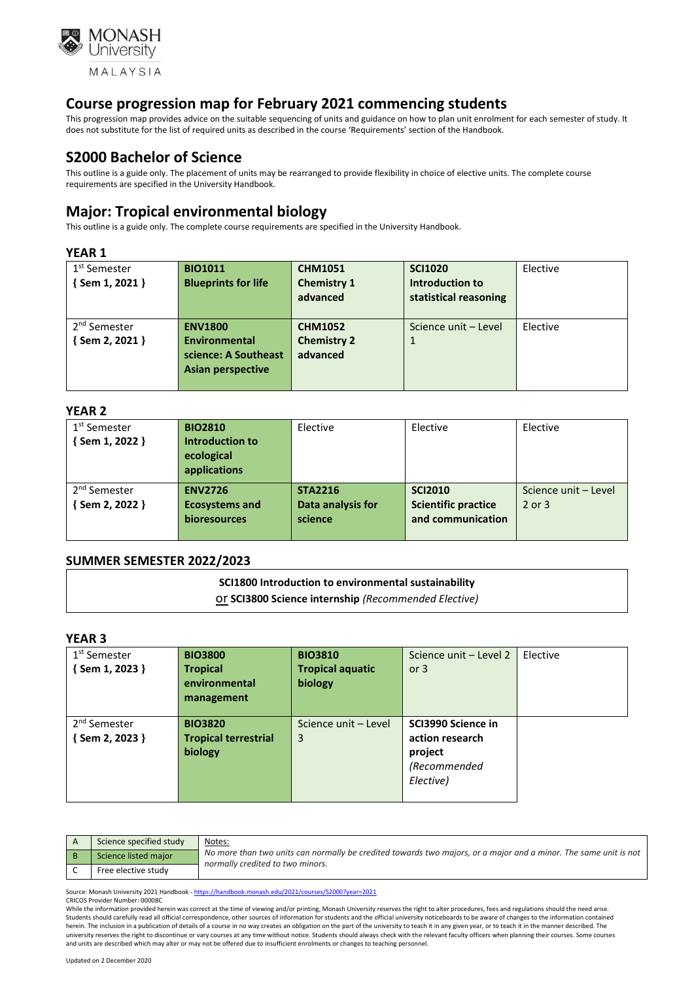

This progression map provides advice on the suitable sequencing of units and guidance on how to plan unit enrolment for each semester of study. It does not substitute for the list of required units as described in the course 'Requirements' section of the Handbook.

# **S2000 Bachelor of Science**

This outline is a guide only. The placement of units may be rearranged to provide flexibility in choice of elective units. The complete course requirements are specified in the University Handbook.

# **Major: Tropical environmental biology**

This outline is a guide only. The complete course requirements are specified in the University Handbook.

#### **YEAR 1**

| 1 <sup>st</sup> Semester | <b>BIO1011</b>             | <b>CHM1051</b>     | <b>SCI1020</b>        | Elective |
|--------------------------|----------------------------|--------------------|-----------------------|----------|
| $\{$ Sem 1, 2021 }       | <b>Blueprints for life</b> | <b>Chemistry 1</b> | Introduction to       |          |
|                          |                            | advanced           | statistical reasoning |          |
|                          |                            |                    |                       |          |
| 2 <sup>nd</sup> Semester | <b>ENV1800</b>             | <b>CHM1052</b>     | Science unit – Level  | Elective |
| $\{$ Sem 2, 2021 $\}$    | Environmental              | <b>Chemistry 2</b> | 1                     |          |
|                          | science: A Southeast       | advanced           |                       |          |
|                          | <b>Asian perspective</b>   |                    |                       |          |
|                          |                            |                    |                       |          |

#### **YEAR 2**

| 1 <sup>st</sup> Semester | <b>BIO2810</b>         | Elective          | Elective                   | Elective             |
|--------------------------|------------------------|-------------------|----------------------------|----------------------|
| $\{$ Sem 1, 2022 $\}$    | <b>Introduction to</b> |                   |                            |                      |
|                          | ecological             |                   |                            |                      |
|                          | applications           |                   |                            |                      |
| 2 <sup>nd</sup> Semester | <b>ENV2726</b>         | <b>STA2216</b>    | <b>SCI2010</b>             | Science unit - Level |
| {Sem 2, 2022 }           | <b>Ecosystems and</b>  | Data analysis for | <b>Scientific practice</b> | $2$ or $3$           |
|                          | bioresources           | science           | and communication          |                      |
|                          |                        |                   |                            |                      |

## **SUMMER SEMESTER 2022/2023**

# **SCI1800 Introduction to environmental sustainability**

or **SCI3800 Science internship** *(Recommended Elective)*

### **YEAR 3**

| 1 <sup>st</sup> Semester<br>{Sem 1, 2023 } | <b>BIO3800</b><br><b>Tropical</b><br>environmental<br>management | <b>BIO3810</b><br><b>Tropical aquatic</b><br>biology | Science unit - Level 2<br>or $3$                                              | Elective |
|--------------------------------------------|------------------------------------------------------------------|------------------------------------------------------|-------------------------------------------------------------------------------|----------|
| 2 <sup>nd</sup> Semester<br>{Sem 2, 2023 } | <b>BIO3820</b><br><b>Tropical terrestrial</b><br>biology         | Science unit - Level<br>3                            | SCI3990 Science in<br>action research<br>project<br>(Recommended<br>Elective) |          |

| Science specified study | <u>Notes:</u>                                                                                                                                        |
|-------------------------|------------------------------------------------------------------------------------------------------------------------------------------------------|
| Science listed major    | No more than two units can normally be credited towards two majors, or a major and a minor. The same unit is not<br>normally credited to two minors. |
| Free elective study     |                                                                                                                                                      |

Source: Monash University 2021 Handbook - <https://handbook.monash.edu/2021/courses/S2000?year=2021> CRICOS Provider Number: 00008C